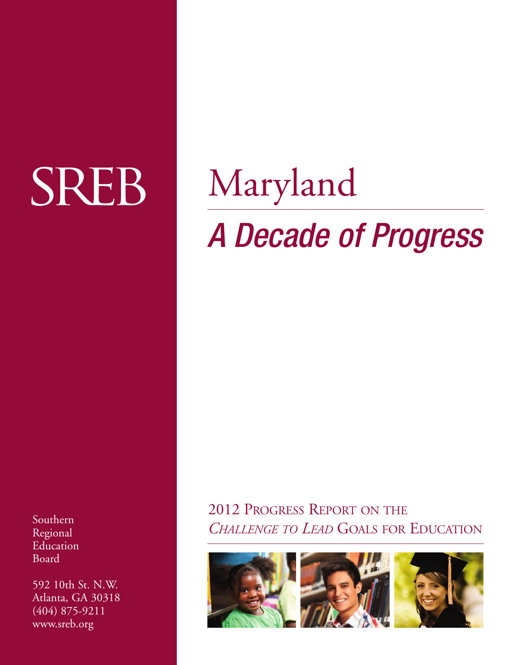# **SREB**

Maryland *A Decade of Progress*

Southern Regional **Education** Board

592 10th St. N.W. Atlanta, GA 30318 (404) 875-9211 www.sreb.org

2012 PROGRESS REPORT ON THE *CHALLENGE TO LEAD* GOALS FOR EDUCATION

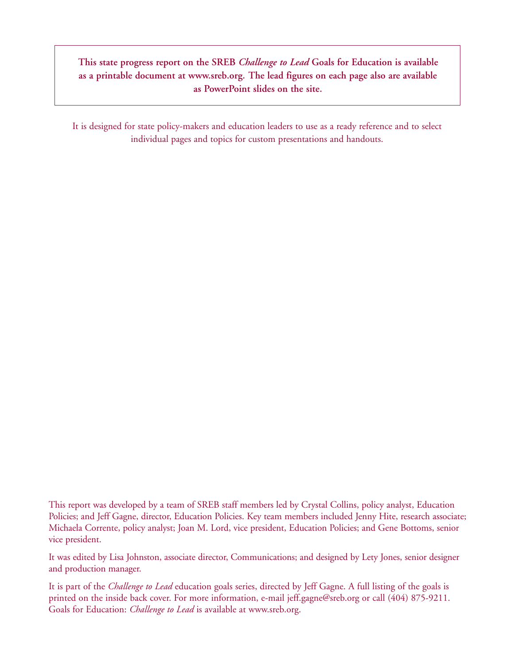**This state progress report on the SREB** *Challenge to Lead* **Goals for Education is available as a printable document at www.sreb.org. The lead figures on each page also are available as PowerPoint slides on the site.**

It is designed for state policy-makers and education leaders to use as a ready reference and to select individual pages and topics for custom presentations and handouts.

This report was developed by a team of SREB staff members led by Crystal Collins, policy analyst, Education Policies; and Jeff Gagne, director, Education Policies. Key team members included Jenny Hite, research associate; Michaela Corrente, policy analyst; Joan M. Lord, vice president, Education Policies; and Gene Bottoms, senior vice president.

It was edited by Lisa Johnston, associate director, Communications; and designed by Lety Jones, senior designer and production manager.

It is part of the *Challenge to Lead* education goals series, directed by Jeff Gagne. A full listing of the goals is printed on the inside back cover. For more information, e-mail jeff.gagne@sreb.org or call (404) 875-9211. Goals for Education: *Challenge to Lead* is available at www.sreb.org.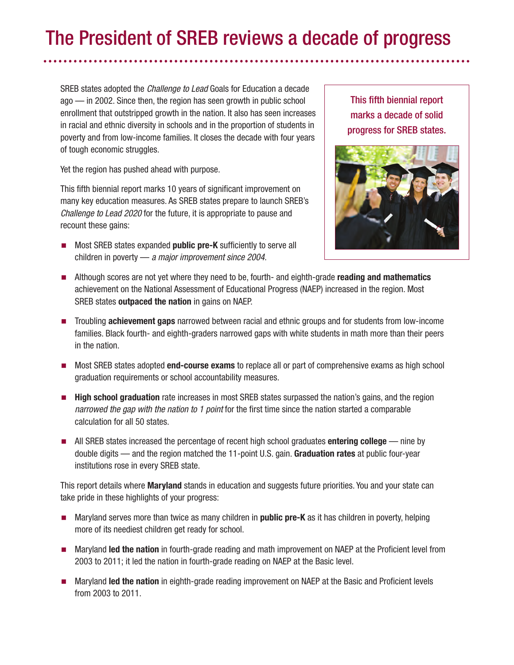### The President of SREB reviews a decade of progress

SREB states adopted the *Challenge to Lead* Goals for Education a decade ago — in 2002. Since then, the region has seen growth in public school enrollment that outstripped growth in the nation. It also has seen increases in racial and ethnic diversity in schools and in the proportion of students in poverty and from low-income families. It closes the decade with four years of tough economic struggles.

Yet the region has pushed ahead with purpose.

This fifth biennial report marks 10 years of significant improvement on many key education measures. As SREB states prepare to launch SREB's *Challenge to Lead 2020* for the future, it is appropriate to pause and recount these gains:

■ Most SREB states expanded **public pre-K** sufficiently to serve all children in poverty — *a major improvement since 2004*.

This fifth biennial report marks a decade of solid progress for SREB states.



- n Although scores are not yet where they need to be, fourth- and eighth-grade **reading and mathematics** achievement on the National Assessment of Educational Progress (NAEP) increased in the region. Most SREB states **outpaced the nation** in gains on NAEP.
- n Troubling **achievement gaps** narrowed between racial and ethnic groups and for students from low-income families. Black fourth- and eighth-graders narrowed gaps with white students in math more than their peers in the nation.
- n Most SREB states adopted **end-course exams** to replace all or part of comprehensive exams as high school graduation requirements or school accountability measures.
- High school graduation rate increases in most SREB states surpassed the nation's gains, and the region *narrowed the gap with the nation to 1 point* for the first time since the nation started a comparable calculation for all 50 states.
- n All SREB states increased the percentage of recent high school graduates **entering college** nine by double digits — and the region matched the 11-point U.S. gain. **Graduation rates** at public four-year institutions rose in every SREB state.

This report details where **Maryland** stands in education and suggests future priorities. You and your state can take pride in these highlights of your progress:

- Maryland serves more than twice as many children in **public pre-K** as it has children in poverty, helping more of its neediest children get ready for school.
- n Maryland **led the nation** in fourth-grade reading and math improvement on NAEP at the Proficient level from 2003 to 2011; it led the nation in fourth-grade reading on NAEP at the Basic level.
- Maryland **led the nation** in eighth-grade reading improvement on NAEP at the Basic and Proficient levels from 2003 to 2011.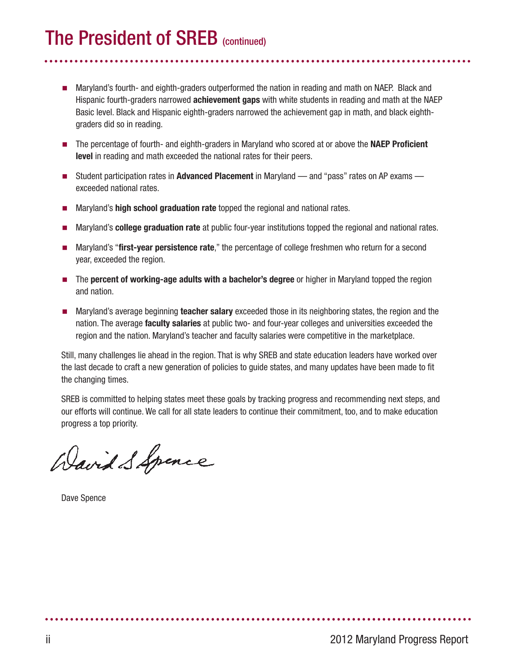### The President of SREB (continued)

- Maryland's fourth- and eighth-graders outperformed the nation in reading and math on NAEP. Black and Hispanic fourth-graders narrowed **achievement gaps** with white students in reading and math at the NAEP Basic level. Black and Hispanic eighth-graders narrowed the achievement gap in math, and black eighthgraders did so in reading.
- n The percentage of fourth- and eighth-graders in Maryland who scored at or above the **NAEP Proficient level** in reading and math exceeded the national rates for their peers.
- Student participation rates in **Advanced Placement** in Maryland and "pass" rates on AP exams exceeded national rates.
- **n** Maryland's **high school graduation rate** topped the regional and national rates.
- n Maryland's **college graduation rate** at public four-year institutions topped the regional and national rates.
- n Maryland's "**first-year persistence rate**," the percentage of college freshmen who return for a second year, exceeded the region.
- **n** The **percent of working-age adults with a bachelor's degree** or higher in Maryland topped the region and nation.
- n Maryland's average beginning **teacher salary** exceeded those in its neighboring states, the region and the nation. The average **faculty salaries** at public two- and four-year colleges and universities exceeded the region and the nation. Maryland's teacher and faculty salaries were competitive in the marketplace.

Still, many challenges lie ahead in the region. That is why SREB and state education leaders have worked over the last decade to craft a new generation of policies to guide states, and many updates have been made to fit the changing times.

SREB is committed to helping states meet these goals by tracking progress and recommending next steps, and our efforts will continue. We call for all state leaders to continue their commitment, too, and to make education progress a top priority.

Wavid S Spence

Dave Spence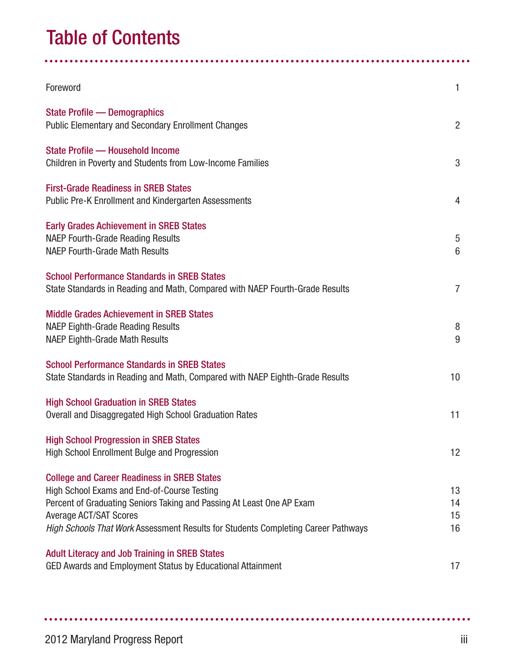### Table of Contents

| Foreword                                                                                                                                                                                                                                                                                         | 1.                                 |
|--------------------------------------------------------------------------------------------------------------------------------------------------------------------------------------------------------------------------------------------------------------------------------------------------|------------------------------------|
| <b>State Profile — Demographics</b><br><b>Public Elementary and Secondary Enrollment Changes</b>                                                                                                                                                                                                 | $\overline{2}$                     |
| State Profile - Household Income<br>Children in Poverty and Students from Low-Income Families                                                                                                                                                                                                    | 3                                  |
| <b>First-Grade Readiness in SREB States</b><br>Public Pre-K Enrollment and Kindergarten Assessments                                                                                                                                                                                              | $\overline{4}$                     |
| <b>Early Grades Achievement in SREB States</b><br><b>NAEP Fourth-Grade Reading Results</b><br><b>NAEP Fourth-Grade Math Results</b>                                                                                                                                                              | 5<br>$6\phantom{1}$                |
| <b>School Performance Standards in SREB States</b><br>State Standards in Reading and Math, Compared with NAEP Fourth-Grade Results                                                                                                                                                               | $\overline{7}$                     |
| <b>Middle Grades Achievement in SREB States</b><br><b>NAEP Eighth-Grade Reading Results</b><br><b>NAEP Eighth-Grade Math Results</b>                                                                                                                                                             | 8<br>9                             |
| <b>School Performance Standards in SREB States</b><br>State Standards in Reading and Math, Compared with NAEP Eighth-Grade Results                                                                                                                                                               | 10                                 |
| <b>High School Graduation in SREB States</b><br>Overall and Disaggregated High School Graduation Rates                                                                                                                                                                                           | 11                                 |
| <b>High School Progression in SREB States</b><br><b>High School Enrollment Bulge and Progression</b>                                                                                                                                                                                             | 12 <sup>°</sup>                    |
| <b>College and Career Readiness in SREB States</b><br>High School Exams and End-of-Course Testing<br>Percent of Graduating Seniors Taking and Passing At Least One AP Exam<br><b>Average ACT/SAT Scores</b><br>High Schools That Work Assessment Results for Students Completing Career Pathways | 13<br>14<br>15 <sub>15</sub><br>16 |
| <b>Adult Literacy and Job Training in SREB States</b><br>GED Awards and Employment Status by Educational Attainment                                                                                                                                                                              | 17                                 |

 $\bullet$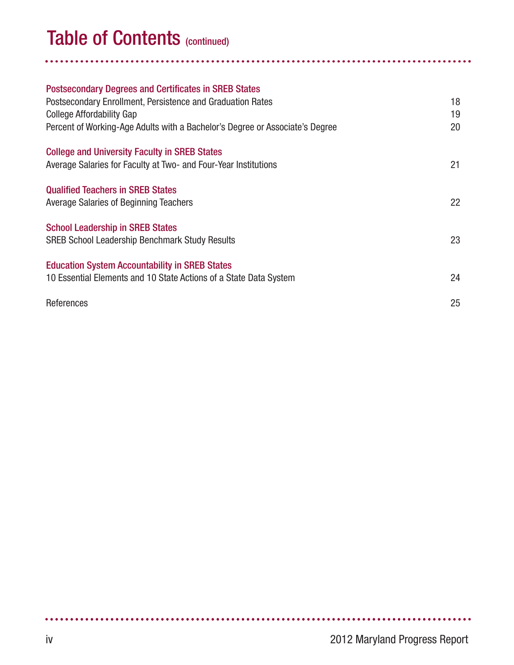### Table of Contents (continued)

. . . . . . . . . . . .

| <b>Postsecondary Degrees and Certificates in SREB States</b><br>Postsecondary Enrollment, Persistence and Graduation Rates<br>College Affordability Gap<br>Percent of Working-Age Adults with a Bachelor's Degree or Associate's Degree | 18<br>19<br>20 |
|-----------------------------------------------------------------------------------------------------------------------------------------------------------------------------------------------------------------------------------------|----------------|
| <b>College and University Faculty in SREB States</b><br>Average Salaries for Faculty at Two- and Four-Year Institutions                                                                                                                 | 21             |
| <b>Qualified Teachers in SREB States</b><br>Average Salaries of Beginning Teachers                                                                                                                                                      | 22             |
| <b>School Leadership in SREB States</b><br><b>SREB School Leadership Benchmark Study Results</b>                                                                                                                                        | 23             |
| <b>Education System Accountability in SREB States</b><br>10 Essential Elements and 10 State Actions of a State Data System                                                                                                              | 24             |
| References                                                                                                                                                                                                                              | 25             |

. . . . . . . .

. . . . . . . . . .

. . . . . . . . .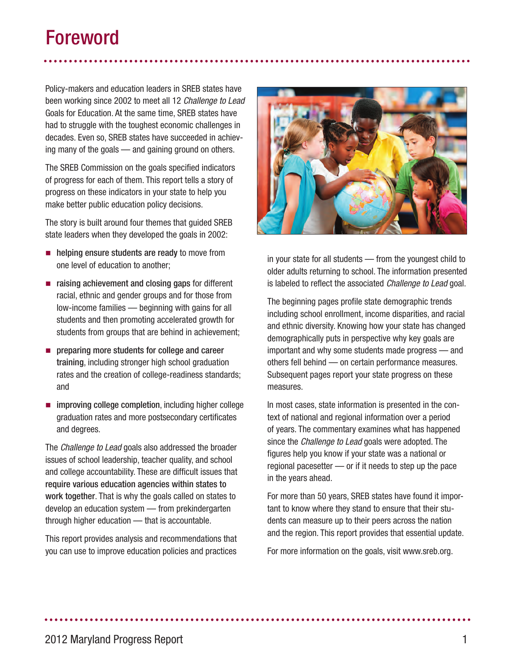### Foreword

Policy-makers and education leaders in SREB states have been working since 2002 to meet all 12 *Challenge to Lead* Goals for Education. At the same time, SREB states have had to struggle with the toughest economic challenges in decades. Even so, SREB states have succeeded in achieving many of the goals — and gaining ground on others.

The SREB Commission on the goals specified indicators of progress for each of them. This report tells a story of progress on these indicators in your state to help you make better public education policy decisions.

The story is built around four themes that guided SREB state leaders when they developed the goals in 2002:

- $\blacksquare$  helping ensure students are ready to move from one level of education to another;
- $\blacksquare$  raising achievement and closing gaps for different racial, ethnic and gender groups and for those from low-income families — beginning with gains for all students and then promoting accelerated growth for students from groups that are behind in achievement;
- $\blacksquare$  preparing more students for college and career training, including stronger high school graduation rates and the creation of college-readiness standards; and
- $\blacksquare$  improving college completion, including higher college graduation rates and more postsecondary certificates and degrees.

The *Challenge to Lead* goals also addressed the broader issues of school leadership, teacher quality, and school and college accountability. These are difficult issues that require various education agencies within states to work together. That is why the goals called on states to develop an education system — from prekindergarten through higher education — that is accountable.

This report provides analysis and recommendations that you can use to improve education policies and practices



in your state for all students — from the youngest child to older adults returning to school. The information presented is labeled to reflect the associated *Challenge to Lead* goal.

The beginning pages profile state demographic trends including school enrollment, income disparities, and racial and ethnic diversity. Knowing how your state has changed demographically puts in perspective why key goals are important and why some students made progress — and others fell behind — on certain performance measures. Subsequent pages report your state progress on these measures.

In most cases, state information is presented in the context of national and regional information over a period of years. The commentary examines what has happened since the *Challenge to Lead* goals were adopted. The figures help you know if your state was a national or regional pacesetter — or if it needs to step up the pace in the years ahead.

For more than 50 years, SREB states have found it important to know where they stand to ensure that their students can measure up to their peers across the nation and the region. This report provides that essential update.

For more information on the goals, visit www.sreb.org.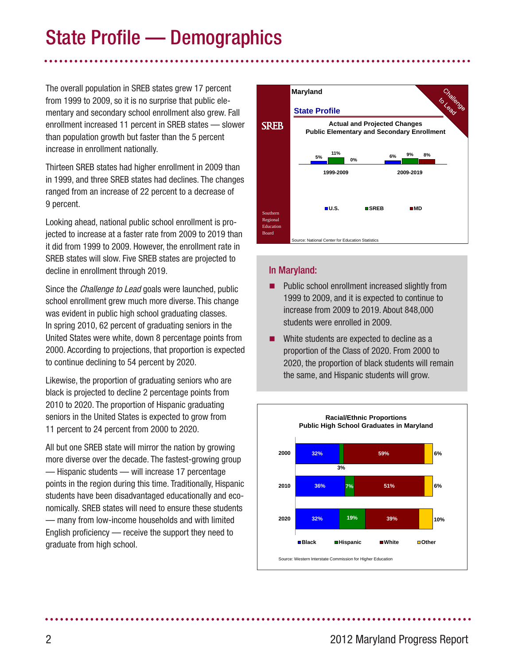### State Profile — Demographics

The overall population in SREB states grew 17 percent from 1999 to 2009, so it is no surprise that public elementary and secondary school enrollment also grew. Fall enrollment increased 11 percent in SREB states — slower than population growth but faster than the 5 percent increase in enrollment nationally.

Thirteen SREB states had higher enrollment in 2009 than in 1999, and three SREB states had declines. The changes ranged from an increase of 22 percent to a decrease of 9 percent.

Looking ahead, national public school enrollment is projected to increase at a faster rate from 2009 to 2019 than it did from 1999 to 2009. However, the enrollment rate in SREB states will slow. Five SREB states are projected to decline in enrollment through 2019.

Since the *Challenge to Lead* goals were launched, public school enrollment grew much more diverse. This change was evident in public high school graduating classes. In spring 2010, 62 percent of graduating seniors in the United States were white, down 8 percentage points from 2000. According to projections, that proportion is expected to continue declining to 54 percent by 2020.

Likewise, the proportion of graduating seniors who are black is projected to decline 2 percentage points from 2010 to 2020. The proportion of Hispanic graduating seniors in the United States is expected to grow from 11 percent to 24 percent from 2000 to 2020.

All but one SREB state will mirror the nation by growing more diverse over the decade. The fastest-growing group — Hispanic students — will increase 17 percentage points in the region during this time. Traditionally, Hispanic students have been disadvantaged educationally and economically. SREB states will need to ensure these students — many from low-income households and with limited English proficiency — receive the support they need to graduate from high school.



- Public school enrollment increased slightly from 1999 to 2009, and it is expected to continue to increase from 2009 to 2019. About 848,000 students were enrolled in 2009.
- White students are expected to decline as a proportion of the Class of 2020. From 2000 to 2020, the proportion of black students will remain the same, and Hispanic students will grow.

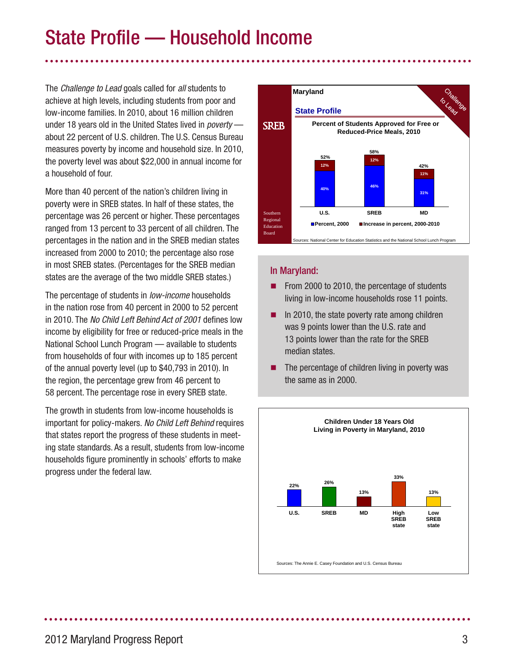# State Profile — Household Income

The *Challenge to Lead* goals called for *all* students to achieve at high levels, including students from poor and low-income families. In 2010, about 16 million children under 18 years old in the United States lived in *poverty* about 22 percent of U.S. children. The U.S. Census Bureau measures poverty by income and household size. In 2010, the poverty level was about \$22,000 in annual income for a household of four.

More than 40 percent of the nation's children living in poverty were in SREB states. In half of these states, the percentage was 26 percent or higher. These percentages ranged from 13 percent to 33 percent of all children. The percentages in the nation and in the SREB median states increased from 2000 to 2010; the percentage also rose in most SREB states. (Percentages for the SREB median states are the average of the two middle SREB states.)

The percentage of students in *low-income* households in the nation rose from 40 percent in 2000 to 52 percent in 2010. The *No Child Left Behind Act of 2001* defines low income by eligibility for free or reduced-price meals in the National School Lunch Program — available to students from households of four with incomes up to 185 percent of the annual poverty level (up to \$40,793 in 2010). In the region, the percentage grew from 46 percent to 58 percent. The percentage rose in every SREB state.

The growth in students from low-income households is important for policy-makers. *No Child Left Behind* requires that states report the progress of these students in meeting state standards. As a result, students from low-income households figure prominently in schools' efforts to make progress under the federal law.



- From 2000 to 2010, the percentage of students living in low-income households rose 11 points.
- $\blacksquare$  In 2010, the state poverty rate among children was 9 points lower than the U.S. rate and 13 points lower than the rate for the SREB median states.
- $\blacksquare$  The percentage of children living in poverty was the same as in 2000.

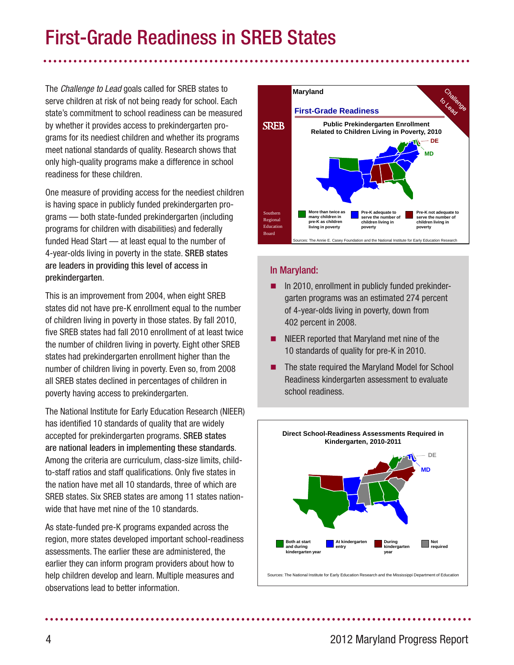### First-Grade Readiness in SREB States

The *Challenge to Lead* goals called for SREB states to serve children at risk of not being ready for school. Each state's commitment to school readiness can be measured by whether it provides access to prekindergarten programs for its neediest children and whether its programs meet national standards of quality. Research shows that only high-quality programs make a difference in school readiness for these children.

One measure of providing access for the neediest children is having space in publicly funded prekindergarten programs — both state-funded prekindergarten (including programs for children with disabilities) and federally funded Head Start — at least equal to the number of 4-year-olds living in poverty in the state. SREB states are leaders in providing this level of access in prekindergarten.

This is an improvement from 2004, when eight SREB states did not have pre-K enrollment equal to the number of children living in poverty in those states. By fall 2010, five SREB states had fall 2010 enrollment of at least twice the number of children living in poverty. Eight other SREB states had prekindergarten enrollment higher than the number of children living in poverty. Even so, from 2008 all SREB states declined in percentages of children in poverty having access to prekindergarten.

The National Institute for Early Education Research (NIEER) has identified 10 standards of quality that are widely accepted for prekindergarten programs. SREB states are national leaders in implementing these standards. Among the criteria are curriculum, class-size limits, childto-staff ratios and staff qualifications. Only five states in the nation have met all 10 standards, three of which are SREB states. Six SREB states are among 11 states nationwide that have met nine of the 10 standards.

As state-funded pre-K programs expanded across the region, more states developed important school-readiness assessments. The earlier these are administered, the earlier they can inform program providers about how to help children develop and learn. Multiple measures and observations lead to better information.



- n 2010, enrollment in publicly funded prekindergarten programs was an estimated 274 percent of 4-year-olds living in poverty, down from 402 percent in 2008.
- $\blacksquare$  NIEER reported that Maryland met nine of the 10 standards of quality for pre-K in 2010.
- $\blacksquare$  The state required the Maryland Model for School Readiness kindergarten assessment to evaluate school readiness.

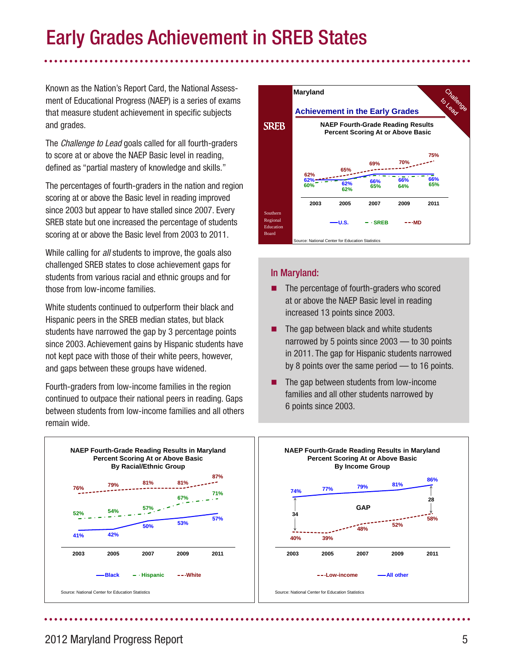# Early Grades Achievement in SREB States

Known as the Nation's Report Card, the National Assessment of Educational Progress (NAEP) is a series of exams that measure student achievement in specific subjects and grades.

The *Challenge to Lead* goals called for all fourth-graders to score at or above the NAEP Basic level in reading, defined as "partial mastery of knowledge and skills."

The percentages of fourth-graders in the nation and region scoring at or above the Basic level in reading improved since 2003 but appear to have stalled since 2007. Every SREB state but one increased the percentage of students scoring at or above the Basic level from 2003 to 2011.

While calling for *all* students to improve, the goals also challenged SREB states to close achievement gaps for students from various racial and ethnic groups and for those from low-income families.

White students continued to outperform their black and Hispanic peers in the SREB median states, but black students have narrowed the gap by 3 percentage points since 2003. Achievement gains by Hispanic students have not kept pace with those of their white peers, however, and gaps between these groups have widened.

Fourth-graders from low-income families in the region continued to outpace their national peers in reading. Gaps between students from low-income families and all others remain wide.





- $\blacksquare$  The percentage of fourth-graders who scored at or above the NAEP Basic level in reading increased 13 points since 2003.
- The gap between black and white students narrowed by 5 points since 2003 — to 30 points in 2011. The gap for Hispanic students narrowed by 8 points over the same period — to 16 points.
- The gap between students from low-income families and all other students narrowed by 6 points since 2003.

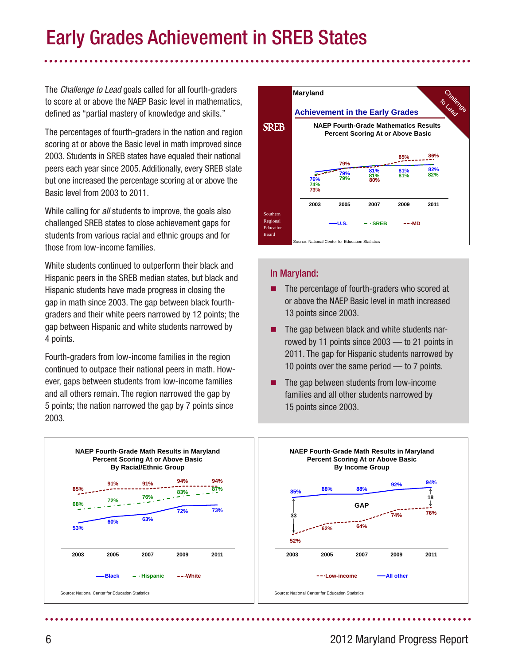# Early Grades Achievement in SREB States

The *Challenge to Lead* goals called for all fourth-graders to score at or above the NAEP Basic level in mathematics, defined as "partial mastery of knowledge and skills."

The percentages of fourth-graders in the nation and region scoring at or above the Basic level in math improved since 2003. Students in SREB states have equaled their national peers each year since 2005. Additionally, every SREB state but one increased the percentage scoring at or above the Basic level from 2003 to 2011.

While calling for *all* students to improve, the goals also challenged SREB states to close achievement gaps for students from various racial and ethnic groups and for those from low-income families.

White students continued to outperform their black and Hispanic peers in the SREB median states, but black and Hispanic students have made progress in closing the gap in math since 2003. The gap between black fourthgraders and their white peers narrowed by 12 points; the gap between Hispanic and white students narrowed by 4 points.

Fourth-graders from low-income families in the region continued to outpace their national peers in math. However, gaps between students from low-income families and all others remain. The region narrowed the gap by 5 points; the nation narrowed the gap by 7 points since 2003.



- $\blacksquare$  The percentage of fourth-graders who scored at or above the NAEP Basic level in math increased 13 points since 2003.
- $\blacksquare$  The gap between black and white students narrowed by 11 points since 2003 — to 21 points in 2011. The gap for Hispanic students narrowed by 10 points over the same period — to 7 points.
- $\blacksquare$  The gap between students from low-income families and all other students narrowed by 15 points since 2003.

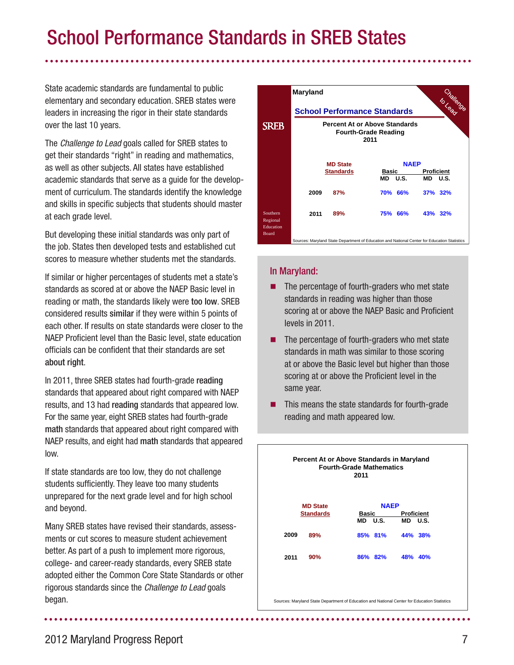# School Performance Standards in SREB States

State academic standards are fundamental to public elementary and secondary education. SREB states were leaders in increasing the rigor in their state standards over the last 10 years.

The *Challenge to Lead* goals called for SREB states to get their standards "right" in reading and mathematics, as well as other subjects. All states have established academic standards that serve as a guide for the development of curriculum. The standards identify the knowledge and skills in specific subjects that students should master at each grade level.

But developing these initial standards was only part of the job. States then developed tests and established cut scores to measure whether students met the standards.

If similar or higher percentages of students met a state's standards as scored at or above the NAEP Basic level in reading or math, the standards likely were too low. SREB considered results similar if they were within 5 points of each other. If results on state standards were closer to the NAEP Proficient level than the Basic level, state education officials can be confident that their standards are set about right.

In 2011, three SREB states had fourth-grade reading standards that appeared about right compared with NAEP results, and 13 had reading standards that appeared low. For the same year, eight SREB states had fourth-grade math standards that appeared about right compared with NAEP results, and eight had math standards that appeared low.

If state standards are too low, they do not challenge students sufficiently. They leave too many students unprepared for the next grade level and for high school and beyond.

Many SREB states have revised their standards, assessments or cut scores to measure student achievement better. As part of a push to implement more rigorous, college- and career-ready standards, every SREB state adopted either the Common Core State Standards or other rigorous standards since the *Challenge to Lead* goals began.



- $\blacksquare$  The percentage of fourth-graders who met state standards in reading was higher than those scoring at or above the NAEP Basic and Proficient levels in 2011.
- The percentage of fourth-graders who met state standards in math was similar to those scoring at or above the Basic level but higher than those scoring at or above the Proficient level in the same year.
- $\blacksquare$  This means the state standards for fourth-grade reading and math appeared low.

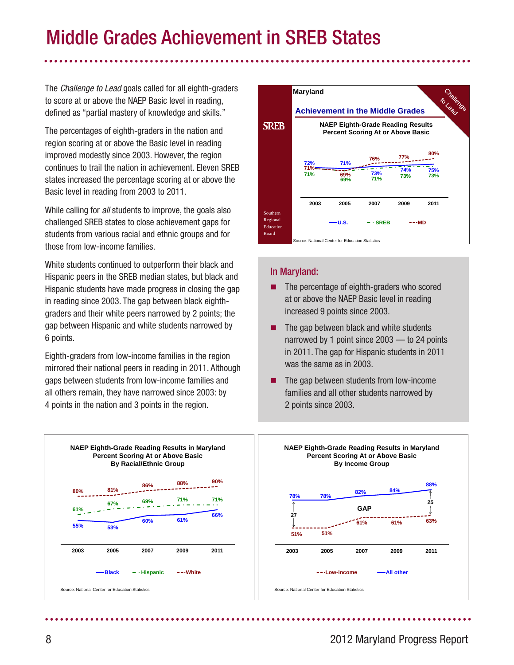# Middle Grades Achievement in SREB States

The *Challenge to Lead* goals called for all eighth-graders to score at or above the NAEP Basic level in reading, defined as "partial mastery of knowledge and skills."

The percentages of eighth-graders in the nation and region scoring at or above the Basic level in reading improved modestly since 2003. However, the region continues to trail the nation in achievement. Eleven SREB states increased the percentage scoring at or above the Basic level in reading from 2003 to 2011.

While calling for *all* students to improve, the goals also challenged SREB states to close achievement gaps for students from various racial and ethnic groups and for those from low-income families.

White students continued to outperform their black and Hispanic peers in the SREB median states, but black and Hispanic students have made progress in closing the gap in reading since 2003. The gap between black eighthgraders and their white peers narrowed by 2 points; the gap between Hispanic and white students narrowed by 6 points.

Eighth-graders from low-income families in the region mirrored their national peers in reading in 2011. Although gaps between students from low-income families and all others remain, they have narrowed since 2003: by 4 points in the nation and 3 points in the region.



- $\blacksquare$  The percentage of eighth-graders who scored at or above the NAEP Basic level in reading increased 9 points since 2003.
- $\blacksquare$  The gap between black and white students narrowed by 1 point since 2003 — to 24 points in 2011. The gap for Hispanic students in 2011 was the same as in 2003.
- $\blacksquare$  The gap between students from low-income families and all other students narrowed by 2 points since 2003.

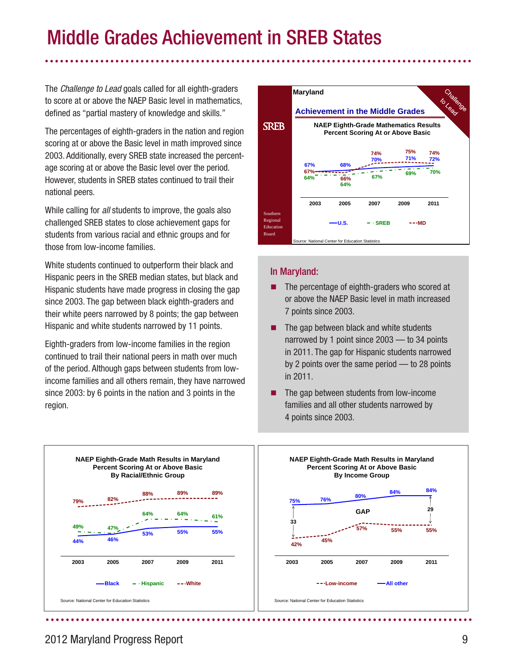# Middle Grades Achievement in SREB States

The *Challenge to Lead* goals called for all eighth-graders to score at or above the NAEP Basic level in mathematics, defined as "partial mastery of knowledge and skills."

The percentages of eighth-graders in the nation and region scoring at or above the Basic level in math improved since 2003. Additionally, every SREB state increased the percentage scoring at or above the Basic level over the period. However, students in SREB states continued to trail their national peers.

While calling for *all* students to improve, the goals also challenged SREB states to close achievement gaps for students from various racial and ethnic groups and for those from low-income families.

White students continued to outperform their black and Hispanic peers in the SREB median states, but black and Hispanic students have made progress in closing the gap since 2003. The gap between black eighth-graders and their white peers narrowed by 8 points; the gap between Hispanic and white students narrowed by 11 points.

Eighth-graders from low-income families in the region continued to trail their national peers in math over much of the period. Although gaps between students from lowincome families and all others remain, they have narrowed since 2003: by 6 points in the nation and 3 points in the region.



- $\blacksquare$  The percentage of eighth-graders who scored at or above the NAEP Basic level in math increased 7 points since 2003.
- $\blacksquare$  The gap between black and white students narrowed by 1 point since 2003 — to 34 points in 2011. The gap for Hispanic students narrowed by 2 points over the same period — to 28 points in 2011.
- $\blacksquare$  The gap between students from low-income families and all other students narrowed by 4 points since 2003.

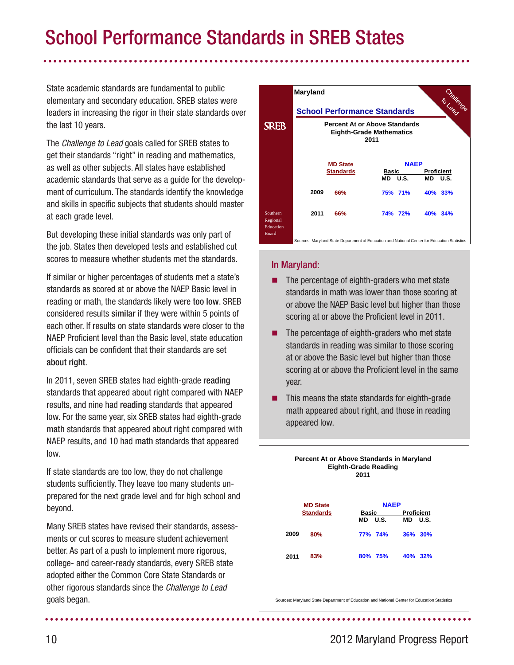# School Performance Standards in SREB States

State academic standards are fundamental to public elementary and secondary education. SREB states were leaders in increasing the rigor in their state standards over the last 10 years.

The *Challenge to Lead* goals called for SREB states to get their standards "right" in reading and mathematics, as well as other subjects. All states have established academic standards that serve as a guide for the development of curriculum. The standards identify the knowledge and skills in specific subjects that students should master at each grade level.

But developing these initial standards was only part of the job. States then developed tests and established cut scores to measure whether students met the standards.

If similar or higher percentages of students met a state's standards as scored at or above the NAEP Basic level in reading or math, the standards likely were too low. SREB considered results similar if they were within 5 points of each other. If results on state standards were closer to the NAEP Proficient level than the Basic level, state education officials can be confident that their standards are set about right.

In 2011, seven SREB states had eighth-grade reading standards that appeared about right compared with NAEP results, and nine had reading standards that appeared low. For the same year, six SREB states had eighth-grade math standards that appeared about right compared with NAEP results, and 10 had math standards that appeared low.

If state standards are too low, they do not challenge students sufficiently. They leave too many students unprepared for the next grade level and for high school and beyond.

Many SREB states have revised their standards, assessments or cut scores to measure student achievement better. As part of a push to implement more rigorous, college- and career-ready standards, every SREB state adopted either the Common Core State Standards or other rigorous standards since the *Challenge to Lead* goals began.



- $\blacksquare$  The percentage of eighth-graders who met state standards in math was lower than those scoring at or above the NAEP Basic level but higher than those scoring at or above the Proficient level in 2011.
- $\blacksquare$  The percentage of eighth-graders who met state standards in reading was similar to those scoring at or above the Basic level but higher than those scoring at or above the Proficient level in the same year.
- $\blacksquare$  This means the state standards for eighth-grade math appeared about right, and those in reading appeared low.

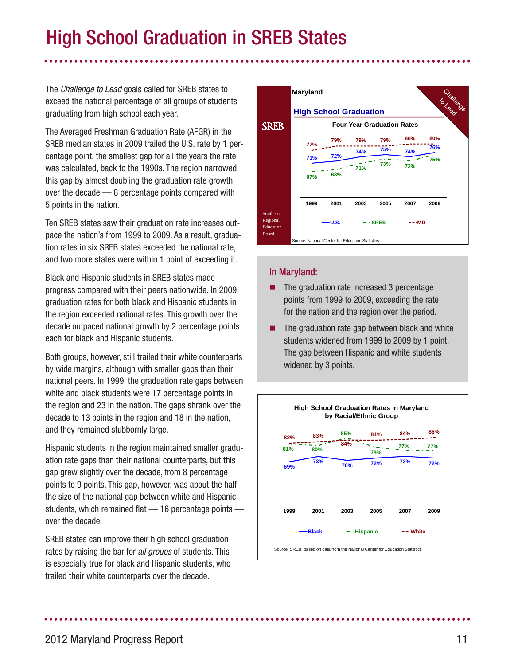# High School Graduation in SREB States

The *Challenge to Lead* goals called for SREB states to exceed the national percentage of all groups of students graduating from high school each year.

The Averaged Freshman Graduation Rate (AFGR) in the SREB median states in 2009 trailed the U.S. rate by 1 percentage point, the smallest gap for all the years the rate was calculated, back to the 1990s. The region narrowed this gap by almost doubling the graduation rate growth over the decade — 8 percentage points compared with 5 points in the nation.

Ten SREB states saw their graduation rate increases outpace the nation's from 1999 to 2009. As a result, graduation rates in six SREB states exceeded the national rate, and two more states were within 1 point of exceeding it.

Black and Hispanic students in SREB states made progress compared with their peers nationwide. In 2009, graduation rates for both black and Hispanic students in the region exceeded national rates. This growth over the decade outpaced national growth by 2 percentage points each for black and Hispanic students.

Both groups, however, still trailed their white counterparts by wide margins, although with smaller gaps than their national peers. In 1999, the graduation rate gaps between white and black students were 17 percentage points in the region and 23 in the nation. The gaps shrank over the decade to 13 points in the region and 18 in the nation, and they remained stubbornly large.

Hispanic students in the region maintained smaller graduation rate gaps than their national counterparts, but this gap grew slightly over the decade, from 8 percentage points to 9 points. This gap, however, was about the half the size of the national gap between white and Hispanic students, which remained flat — 16 percentage points over the decade.

SREB states can improve their high school graduation rates by raising the bar for *all groups* of students. This is especially true for black and Hispanic students, who trailed their white counterparts over the decade.



- $\blacksquare$  The graduation rate increased 3 percentage points from 1999 to 2009, exceeding the rate for the nation and the region over the period.
- The graduation rate gap between black and white students widened from 1999 to 2009 by 1 point. The gap between Hispanic and white students widened by 3 points.

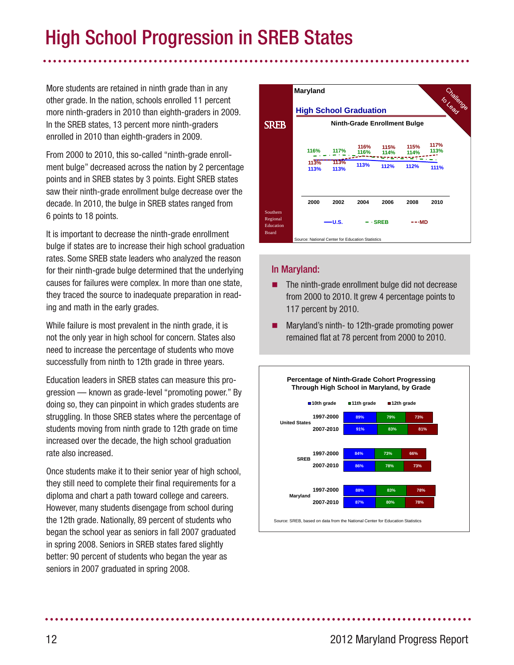# High School Progression in SREB States

More students are retained in ninth grade than in any other grade. In the nation, schools enrolled 11 percent more ninth-graders in 2010 than eighth-graders in 2009. In the SREB states, 13 percent more ninth-graders enrolled in 2010 than eighth-graders in 2009.

From 2000 to 2010, this so-called "ninth-grade enrollment bulge" decreased across the nation by 2 percentage points and in SREB states by 3 points. Eight SREB states saw their ninth-grade enrollment bulge decrease over the decade. In 2010, the bulge in SREB states ranged from 6 points to 18 points.

It is important to decrease the ninth-grade enrollment bulge if states are to increase their high school graduation rates. Some SREB state leaders who analyzed the reason for their ninth-grade bulge determined that the underlying causes for failures were complex. In more than one state, they traced the source to inadequate preparation in reading and math in the early grades.

While failure is most prevalent in the ninth grade, it is not the only year in high school for concern. States also need to increase the percentage of students who move successfully from ninth to 12th grade in three years.

Education leaders in SREB states can measure this progression — known as grade-level "promoting power." By doing so, they can pinpoint in which grades students are struggling. In those SREB states where the percentage of students moving from ninth grade to 12th grade on time increased over the decade, the high school graduation rate also increased.

Once students make it to their senior year of high school, they still need to complete their final requirements for a diploma and chart a path toward college and careers. However, many students disengage from school during the 12th grade. Nationally, 89 percent of students who began the school year as seniors in fall 2007 graduated in spring 2008. Seniors in SREB states fared slightly better: 90 percent of students who began the year as seniors in 2007 graduated in spring 2008.



- $\blacksquare$  The ninth-grade enrollment bulge did not decrease from 2000 to 2010. It grew 4 percentage points to 117 percent by 2010.
- Maryland's ninth- to 12th-grade promoting power remained flat at 78 percent from 2000 to 2010.

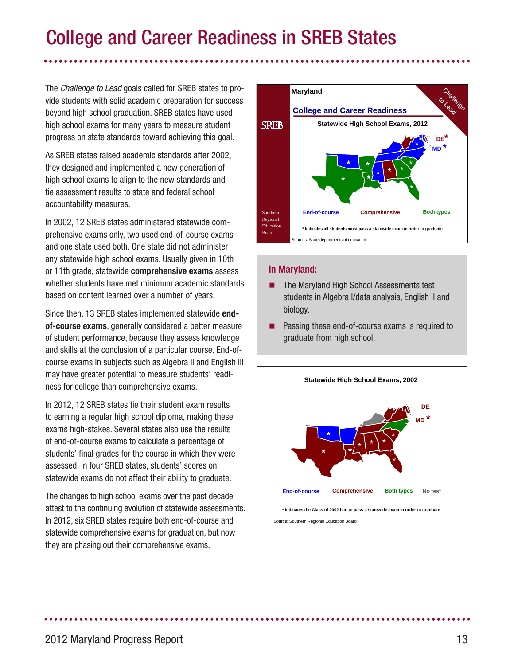The *Challenge to Lead* goals called for SREB states to provide students with solid academic preparation for success beyond high school graduation. SREB states have used high school exams for many years to measure student progress on state standards toward achieving this goal.

As SREB states raised academic standards after 2002, they designed and implemented a new generation of high school exams to align to the new standards and tie assessment results to state and federal school accountability measures.

In 2002, 12 SREB states administered statewide comprehensive exams only, two used end-of-course exams and one state used both. One state did not administer any statewide high school exams. Usually given in 10th or 11th grade, statewide **comprehensive exams** assess whether students have met minimum academic standards based on content learned over a number of years.

Since then, 13 SREB states implemented statewide **endof-course exams**, generally considered a better measure of student performance, because they assess knowledge and skills at the conclusion of a particular course. End-ofcourse exams in subjects such as Algebra II and English III may have greater potential to measure students' readiness for college than comprehensive exams.

In 2012, 12 SREB states tie their student exam results to earning a regular high school diploma, making these exams high-stakes. Several states also use the results of end-of-course exams to calculate a percentage of students' final grades for the course in which they were assessed. In four SREB states, students' scores on statewide exams do not affect their ability to graduate.

The changes to high school exams over the past decade attest to the continuing evolution of statewide assessments. In 2012, six SREB states require both end-of-course and statewide comprehensive exams for graduation, but now they are phasing out their comprehensive exams.



- The Maryland High School Assessments test students in Algebra I/data analysis, English II and biology.
- Passing these end-of-course exams is required to graduate from high school.

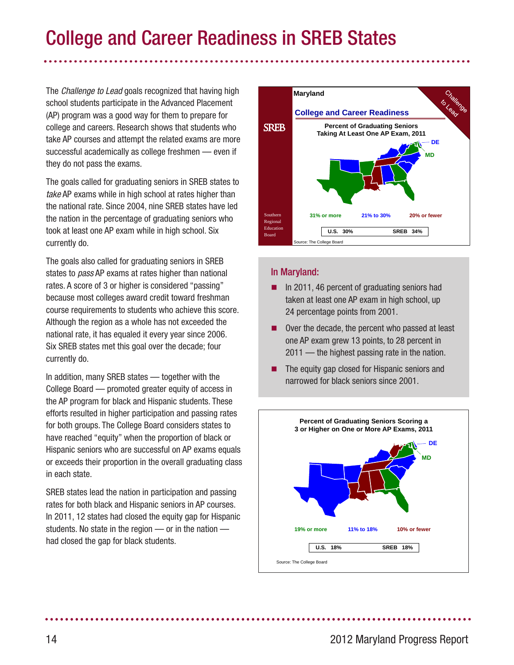The *Challenge to Lead* goals recognized that having high school students participate in the Advanced Placement (AP) program was a good way for them to prepare for college and careers. Research shows that students who take AP courses and attempt the related exams are more successful academically as college freshmen — even if they do not pass the exams.

The goals called for graduating seniors in SREB states to *take* AP exams while in high school at rates higher than the national rate. Since 2004, nine SREB states have led the nation in the percentage of graduating seniors who took at least one AP exam while in high school. Six currently do.

The goals also called for graduating seniors in SREB states to *pass* AP exams at rates higher than national rates. A score of 3 or higher is considered "passing" because most colleges award credit toward freshman course requirements to students who achieve this score. Although the region as a whole has not exceeded the national rate, it has equaled it every year since 2006. Six SREB states met this goal over the decade; four currently do.

In addition, many SREB states — together with the College Board — promoted greater equity of access in the AP program for black and Hispanic students. These efforts resulted in higher participation and passing rates for both groups. The College Board considers states to have reached "equity" when the proportion of black or Hispanic seniors who are successful on AP exams equals or exceeds their proportion in the overall graduating class in each state.

SREB states lead the nation in participation and passing rates for both black and Hispanic seniors in AP courses. In 2011, 12 states had closed the equity gap for Hispanic students. No state in the region — or in the nation had closed the gap for black students.



- $\blacksquare$  In 2011, 46 percent of graduating seniors had taken at least one AP exam in high school, up 24 percentage points from 2001.
- Over the decade, the percent who passed at least one AP exam grew 13 points, to 28 percent in 2011 — the highest passing rate in the nation.
- The equity gap closed for Hispanic seniors and narrowed for black seniors since 2001.

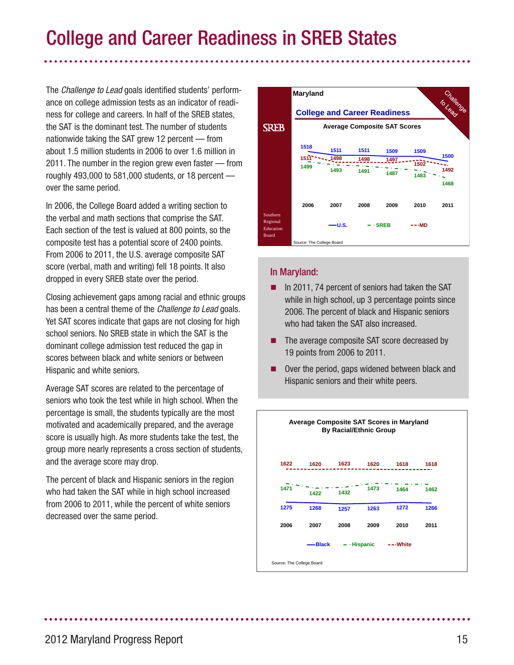The *Challenge to Lead* goals identified students' performance on college admission tests as an indicator of readiness for college and careers. In half of the SREB states, the SAT is the dominant test. The number of students nationwide taking the SAT grew 12 percent — from about 1.5 million students in 2006 to over 1.6 million in 2011. The number in the region grew even faster — from roughly 493,000 to 581,000 students, or 18 percent over the same period.

In 2006, the College Board added a writing section to the verbal and math sections that comprise the SAT. Each section of the test is valued at 800 points, so the composite test has a potential score of 2400 points. From 2006 to 2011, the U.S. average composite SAT score (verbal, math and writing) fell 18 points. It also dropped in every SREB state over the period.

Closing achievement gaps among racial and ethnic groups has been a central theme of the *Challenge to Lead* goals. Yet SAT scores indicate that gaps are not closing for high school seniors. No SREB state in which the SAT is the dominant college admission test reduced the gap in scores between black and white seniors or between Hispanic and white seniors.

Average SAT scores are related to the percentage of seniors who took the test while in high school. When the percentage is small, the students typically are the most motivated and academically prepared, and the average score is usually high. As more students take the test, the group more nearly represents a cross section of students, and the average score may drop.

The percent of black and Hispanic seniors in the region who had taken the SAT while in high school increased from 2006 to 2011, while the percent of white seniors decreased over the same period.



- n In 2011, 74 percent of seniors had taken the SAT while in high school, up 3 percentage points since 2006. The percent of black and Hispanic seniors who had taken the SAT also increased.
- $\blacksquare$  The average composite SAT score decreased by 19 points from 2006 to 2011.
- $\Box$  Over the period, gaps widened between black and Hispanic seniors and their white peers.

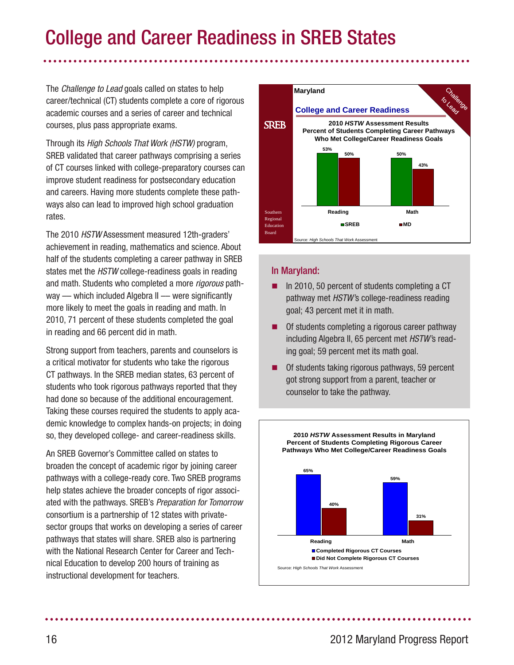The *Challenge to Lead* goals called on states to help career/technical (CT) students complete a core of rigorous academic courses and a series of career and technical courses, plus pass appropriate exams.

Through its *High Schools That Work (HSTW)* program, SREB validated that career pathways comprising a series of CT courses linked with college-preparatory courses can improve student readiness for postsecondary education and careers. Having more students complete these pathways also can lead to improved high school graduation rates.

The 2010 *HSTW* Assessment measured 12th-graders' achievement in reading, mathematics and science. About half of the students completing a career pathway in SREB states met the *HSTW* college-readiness goals in reading and math. Students who completed a more *rigorous* pathway — which included Algebra II — were significantly more likely to meet the goals in reading and math. In 2010, 71 percent of these students completed the goal in reading and 66 percent did in math.

Strong support from teachers, parents and counselors is a critical motivator for students who take the rigorous CT pathways. In the SREB median states, 63 percent of students who took rigorous pathways reported that they had done so because of the additional encouragement. Taking these courses required the students to apply academic knowledge to complex hands-on projects; in doing so, they developed college- and career-readiness skills.

An SREB Governor's Committee called on states to broaden the concept of academic rigor by joining career pathways with a college-ready core. Two SREB programs help states achieve the broader concepts of rigor associated with the pathways. SREB's *Preparation for Tomorrow* consortium is a partnership of 12 states with privatesector groups that works on developing a series of career pathways that states will share. SREB also is partnering with the National Research Center for Career and Technical Education to develop 200 hours of training as instructional development for teachers.



- n In 2010, 50 percent of students completing a CT pathway met *HSTW'*s college-readiness reading goal; 43 percent met it in math.
- $\blacksquare$  Of students completing a rigorous career pathway including Algebra II, 65 percent met *HSTW'*s reading goal; 59 percent met its math goal.
- $\blacksquare$  Of students taking rigorous pathways, 59 percent got strong support from a parent, teacher or counselor to take the pathway.

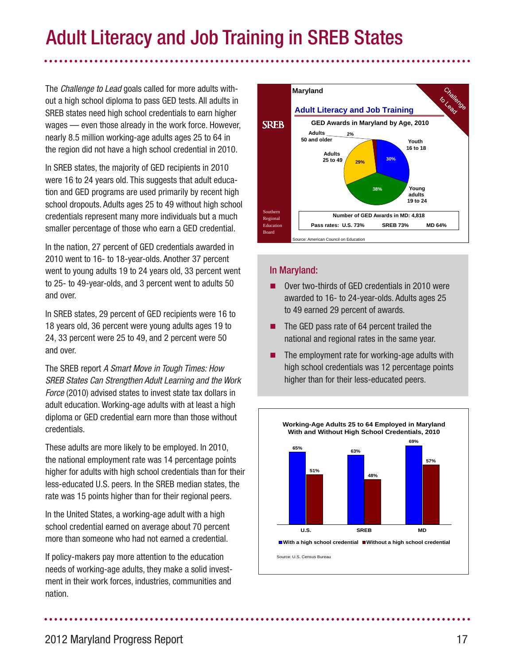# Adult Literacy and Job Training in SREB States

The *Challenge to Lead* goals called for more adults without a high school diploma to pass GED tests. All adults in SREB states need high school credentials to earn higher wages — even those already in the work force. However, nearly 8.5 million working-age adults ages 25 to 64 in the region did not have a high school credential in 2010.

In SREB states, the majority of GED recipients in 2010 were 16 to 24 years old. This suggests that adult education and GED programs are used primarily by recent high school dropouts. Adults ages 25 to 49 without high school credentials represent many more individuals but a much smaller percentage of those who earn a GED credential.

In the nation, 27 percent of GED credentials awarded in 2010 went to 16- to 18-year-olds. Another 37 percent went to young adults 19 to 24 years old, 33 percent went to 25- to 49-year-olds, and 3 percent went to adults 50 and over.

In SREB states, 29 percent of GED recipients were 16 to 18 years old, 36 percent were young adults ages 19 to 24, 33 percent were 25 to 49, and 2 percent were 50 and over.

The SREB report *A Smart Move in Tough Times: How SREB States Can Strengthen Adult Learning and the Work Force* (2010) advised states to invest state tax dollars in adult education. Working-age adults with at least a high diploma or GED credential earn more than those without credentials.

These adults are more likely to be employed. In 2010, the national employment rate was 14 percentage points higher for adults with high school credentials than for their less-educated U.S. peers. In the SREB median states, the rate was 15 points higher than for their regional peers.

In the United States, a working-age adult with a high school credential earned on average about 70 percent more than someone who had not earned a credential.

If policy-makers pay more attention to the education needs of working-age adults, they make a solid investment in their work forces, industries, communities and nation.



- $\blacksquare$  Over two-thirds of GED credentials in 2010 were awarded to 16- to 24-year-olds. Adults ages 25 to 49 earned 29 percent of awards.
- $\blacksquare$  The GED pass rate of 64 percent trailed the national and regional rates in the same year.
- $\blacksquare$  The employment rate for working-age adults with high school credentials was 12 percentage points higher than for their less-educated peers.

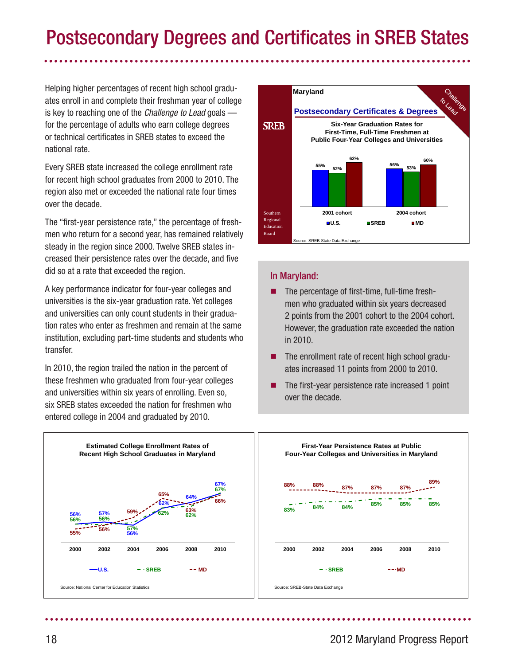### Postsecondary Degrees and Certificates in SREB States

Helping higher percentages of recent high school graduates enroll in and complete their freshman year of college is key to reaching one of the *Challenge to Lead* goals for the percentage of adults who earn college degrees or technical certificates in SREB states to exceed the national rate.

Every SREB state increased the college enrollment rate for recent high school graduates from 2000 to 2010. The region also met or exceeded the national rate four times over the decade.

The "first-year persistence rate," the percentage of freshmen who return for a second year, has remained relatively steady in the region since 2000. Twelve SREB states increased their persistence rates over the decade, and five did so at a rate that exceeded the region.

A key performance indicator for four-year colleges and universities is the six-year graduation rate. Yet colleges and universities can only count students in their graduation rates who enter as freshmen and remain at the same institution, excluding part-time students and students who transfer.

In 2010, the region trailed the nation in the percent of these freshmen who graduated from four-year colleges and universities within six years of enrolling. Even so, six SREB states exceeded the nation for freshmen who entered college in 2004 and graduated by 2010.



- The percentage of first-time, full-time freshmen who graduated within six years decreased 2 points from the 2001 cohort to the 2004 cohort. However, the graduation rate exceeded the nation in 2010.
- $\blacksquare$  The enrollment rate of recent high school graduates increased 11 points from 2000 to 2010.
- $\blacksquare$  The first-year persistence rate increased 1 point over the decade.

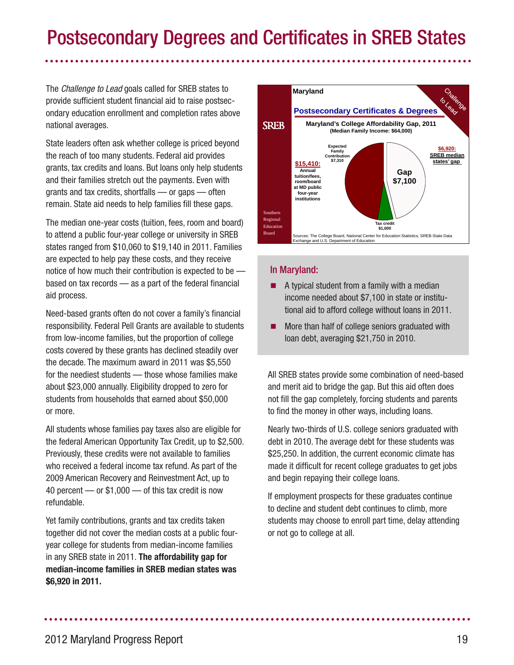# Postsecondary Degrees and Certificates in SREB States

The *Challenge to Lead* goals called for SREB states to provide sufficient student financial aid to raise postsecondary education enrollment and completion rates above national averages.

State leaders often ask whether college is priced beyond the reach of too many students. Federal aid provides grants, tax credits and loans. But loans only help students and their families stretch out the payments. Even with grants and tax credits, shortfalls — or gaps — often remain. State aid needs to help families fill these gaps.

The median one-year costs (tuition, fees, room and board) to attend a public four-year college or university in SREB states ranged from \$10,060 to \$19,140 in 2011. Families are expected to help pay these costs, and they receive notice of how much their contribution is expected to be based on tax records — as a part of the federal financial aid process.

Need-based grants often do not cover a family's financial responsibility. Federal Pell Grants are available to students from low-income families, but the proportion of college costs covered by these grants has declined steadily over the decade. The maximum award in 2011 was \$5,550 for the neediest students — those whose families make about \$23,000 annually. Eligibility dropped to zero for students from households that earned about \$50,000 or more.

All students whose families pay taxes also are eligible for the federal American Opportunity Tax Credit, up to \$2,500. Previously, these credits were not available to families who received a federal income tax refund. As part of the 2009 American Recovery and Reinvestment Act, up to 40 percent — or \$1,000 — of this tax credit is now refundable.

Yet family contributions, grants and tax credits taken together did not cover the median costs at a public fouryear college for students from median-income families in any SREB state in 2011. **The affordability gap for median-income families in SREB median states was \$6,920 in 2011.**



#### In Maryland:

- $\blacksquare$  A typical student from a family with a median income needed about \$7,100 in state or institutional aid to afford college without loans in 2011.
- $\blacksquare$  More than half of college seniors graduated with loan debt, averaging \$21,750 in 2010.

All SREB states provide some combination of need-based and merit aid to bridge the gap. But this aid often does not fill the gap completely, forcing students and parents to find the money in other ways, including loans.

Nearly two-thirds of U.S. college seniors graduated with debt in 2010. The average debt for these students was \$25,250. In addition, the current economic climate has made it difficult for recent college graduates to get jobs and begin repaying their college loans.

If employment prospects for these graduates continue to decline and student debt continues to climb, more students may choose to enroll part time, delay attending or not go to college at all.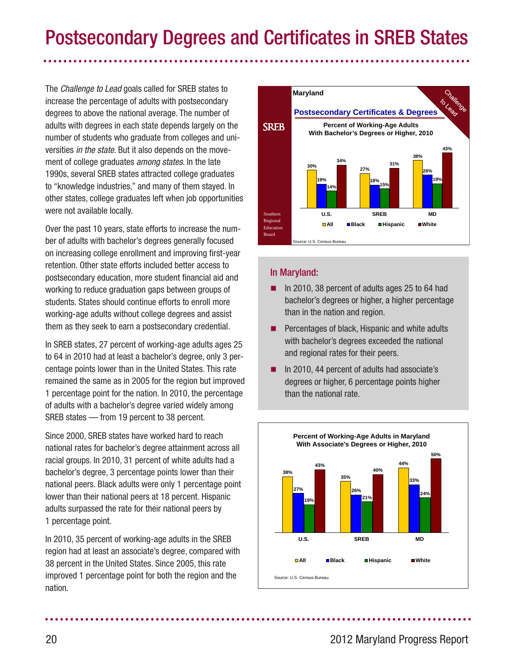### Postsecondary Degrees and Certificates in SREB States

The *Challenge to Lead* goals called for SREB states to increase the percentage of adults with postsecondary degrees to above the national average. The number of adults with degrees in each state depends largely on the number of students who graduate from colleges and universities *in the state*. But it also depends on the movement of college graduates *among states*. In the late 1990s, several SREB states attracted college graduates to "knowledge industries," and many of them stayed. In other states, college graduates left when job opportunities were not available locally.

Over the past 10 years, state efforts to increase the number of adults with bachelor's degrees generally focused on increasing college enrollment and improving first-year retention. Other state efforts included better access to postsecondary education, more student financial aid and working to reduce graduation gaps between groups of students. States should continue efforts to enroll more working-age adults without college degrees and assist them as they seek to earn a postsecondary credential.

In SREB states, 27 percent of working-age adults ages 25 to 64 in 2010 had at least a bachelor's degree, only 3 percentage points lower than in the United States. This rate remained the same as in 2005 for the region but improved 1 percentage point for the nation. In 2010, the percentage of adults with a bachelor's degree varied widely among SREB states — from 19 percent to 38 percent.

Since 2000, SREB states have worked hard to reach national rates for bachelor's degree attainment across all racial groups. In 2010, 31 percent of white adults had a bachelor's degree, 3 percentage points lower than their national peers. Black adults were only 1 percentage point lower than their national peers at 18 percent. Hispanic adults surpassed the rate for their national peers by 1 percentage point.

In 2010, 35 percent of working-age adults in the SREB region had at least an associate's degree, compared with 38 percent in the United States. Since 2005, this rate improved 1 percentage point for both the region and the nation.



- In 2010, 38 percent of adults ages 25 to 64 had bachelor's degrees or higher, a higher percentage than in the nation and region.
- $\blacksquare$  Percentages of black, Hispanic and white adults with bachelor's degrees exceeded the national and regional rates for their peers.
- In 2010, 44 percent of adults had associate's degrees or higher, 6 percentage points higher than the national rate.

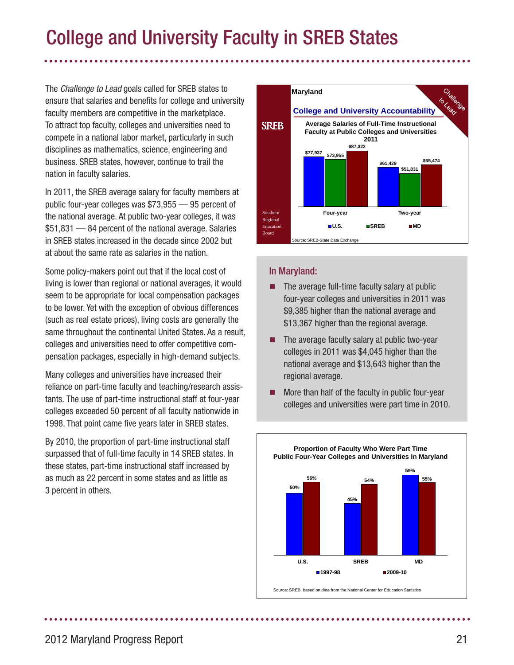# College and University Faculty in SREB States

The *Challenge to Lead* goals called for SREB states to ensure that salaries and benefits for college and university faculty members are competitive in the marketplace. To attract top faculty, colleges and universities need to compete in a national labor market, particularly in such disciplines as mathematics, science, engineering and business. SREB states, however, continue to trail the nation in faculty salaries.

In 2011, the SREB average salary for faculty members at public four-year colleges was \$73,955 — 95 percent of the national average. At public two-year colleges, it was \$51,831 — 84 percent of the national average. Salaries in SREB states increased in the decade since 2002 but at about the same rate as salaries in the nation.

Some policy-makers point out that if the local cost of living is lower than regional or national averages, it would seem to be appropriate for local compensation packages to be lower. Yet with the exception of obvious differences (such as real estate prices), living costs are generally the same throughout the continental United States. As a result, colleges and universities need to offer competitive compensation packages, especially in high-demand subjects.

Many colleges and universities have increased their reliance on part-time faculty and teaching/research assistants. The use of part-time instructional staff at four-year colleges exceeded 50 percent of all faculty nationwide in 1998. That point came five years later in SREB states.

By 2010, the proportion of part-time instructional staff surpassed that of full-time faculty in 14 SREB states. In these states, part-time instructional staff increased by as much as 22 percent in some states and as little as 3 percent in others. **50%**



- $\blacksquare$  The average full-time faculty salary at public four-year colleges and universities in 2011 was \$9,385 higher than the national average and \$13,367 higher than the regional average.
- $\blacksquare$  The average faculty salary at public two-year colleges in 2011 was \$4,045 higher than the national average and \$13,643 higher than the regional average.
- More than half of the faculty in public four-year colleges and universities were part time in 2010.

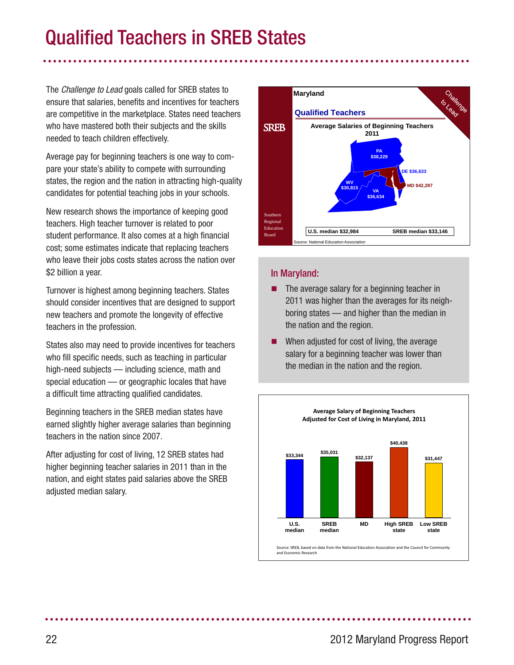### Qualified Teachers in SREB States

The *Challenge to Lead* goals called for SREB states to ensure that salaries, benefits and incentives for teachers are competitive in the marketplace. States need teachers who have mastered both their subjects and the skills needed to teach children effectively.

Average pay for beginning teachers is one way to compare your state's ability to compete with surrounding states, the region and the nation in attracting high-quality candidates for potential teaching jobs in your schools.

New research shows the importance of keeping good teachers. High teacher turnover is related to poor student performance. It also comes at a high financial cost; some estimates indicate that replacing teachers who leave their jobs costs states across the nation over \$2 billion a year.

Turnover is highest among beginning teachers. States should consider incentives that are designed to support new teachers and promote the longevity of effective teachers in the profession.

States also may need to provide incentives for teachers who fill specific needs, such as teaching in particular high-need subjects — including science, math and special education –– or geographic locales that have a difficult time attracting qualified candidates.

Beginning teachers in the SREB median states have earned slightly higher average salaries than beginning teachers in the nation since 2007.

After adjusting for cost of living, 12 SREB states had higher beginning teacher salaries in 2011 than in the nation, and eight states paid salaries above the SREB adjusted median salary.



- $\blacksquare$  The average salary for a beginning teacher in 2011 was higher than the averages for its neighboring states — and higher than the median in the nation and the region.
- When adjusted for cost of living, the average salary for a beginning teacher was lower than the median in the nation and the region.

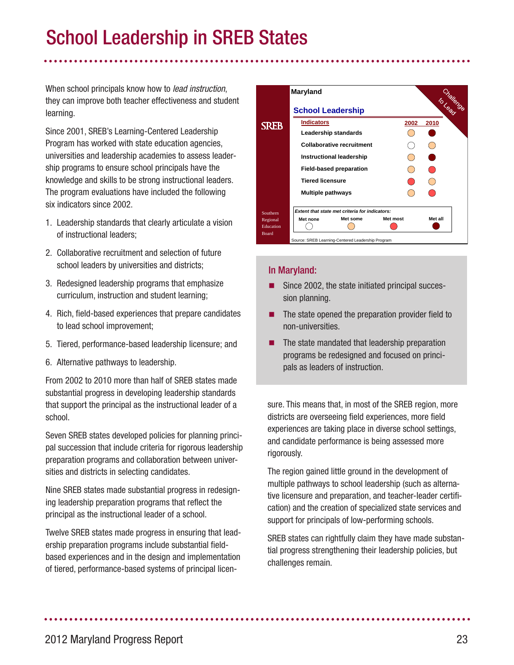# School Leadership in SREB States

When school principals know how to *lead instruction*, they can improve both teacher effectiveness and student learning.

Since 2001, SREB's Learning-Centered Leadership Program has worked with state education agencies, universities and leadership academies to assess leadership programs to ensure school principals have the knowledge and skills to be strong instructional leaders. The program evaluations have included the following six indicators since 2002.

- 1. Leadership standards that clearly articulate a vision of instructional leaders;
- 2. Collaborative recruitment and selection of future school leaders by universities and districts;
- 3. Redesigned leadership programs that emphasize curriculum, instruction and student learning;
- 4. Rich, field-based experiences that prepare candidates to lead school improvement;
- 5. Tiered, performance-based leadership licensure; and
- 6. Alternative pathways to leadership.

From 2002 to 2010 more than half of SREB states made substantial progress in developing leadership standards that support the principal as the instructional leader of a school.

Seven SREB states developed policies for planning principal succession that include criteria for rigorous leadership preparation programs and collaboration between universities and districts in selecting candidates.

Nine SREB states made substantial progress in redesigning leadership preparation programs that reflect the principal as the instructional leader of a school.

Twelve SREB states made progress in ensuring that leadership preparation programs include substantial fieldbased experiences and in the design and implementation of tiered, performance-based systems of principal licen-



#### In Maryland:

- Since 2002, the state initiated principal succession planning.
- $\blacksquare$  The state opened the preparation provider field to non-universities.
- $\blacksquare$  The state mandated that leadership preparation programs be redesigned and focused on principals as leaders of instruction.

sure. This means that, in most of the SREB region, more districts are overseeing field experiences, more field experiences are taking place in diverse school settings, and candidate performance is being assessed more rigorously.

The region gained little ground in the development of multiple pathways to school leadership (such as alternative licensure and preparation, and teacher-leader certification) and the creation of specialized state services and support for principals of low-performing schools.

SREB states can rightfully claim they have made substantial progress strengthening their leadership policies, but challenges remain.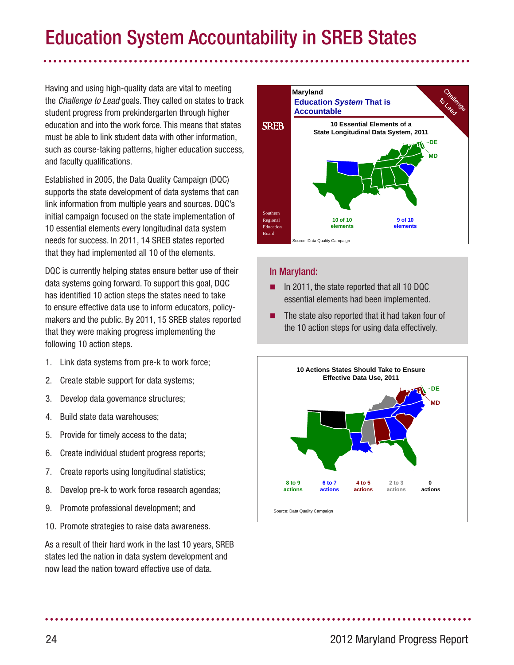# Education System Accountability in SREB States

Having and using high-quality data are vital to meeting the *Challenge to Lead* goals. They called on states to track student progress from prekindergarten through higher education and into the work force. This means that states must be able to link student data with other information, such as course-taking patterns, higher education success, and faculty qualifications.

Established in 2005, the Data Quality Campaign (DQC) supports the state development of data systems that can link information from multiple years and sources. DQC's initial campaign focused on the state implementation of 10 essential elements every longitudinal data system needs for success. In 2011, 14 SREB states reported that they had implemented all 10 of the elements.

DQC is currently helping states ensure better use of their data systems going forward. To support this goal, DQC has identified 10 action steps the states need to take to ensure effective data use to inform educators, policymakers and the public. By 2011, 15 SREB states reported that they were making progress implementing the following 10 action steps.

- 1. Link data systems from pre-k to work force;
- 2. Create stable support for data systems;
- 3. Develop data governance structures;
- 4. Build state data warehouses;
- 5. Provide for timely access to the data;
- 6. Create individual student progress reports;
- 7. Create reports using longitudinal statistics;
- 8. Develop pre-k to work force research agendas;
- 9. Promote professional development; and
- 10. Promote strategies to raise data awareness.

As a result of their hard work in the last 10 years, SREB states led the nation in data system development and now lead the nation toward effective use of data.



- In 2011, the state reported that all 10 DQC essential elements had been implemented.
- $\blacksquare$  The state also reported that it had taken four of the 10 action steps for using data effectively.

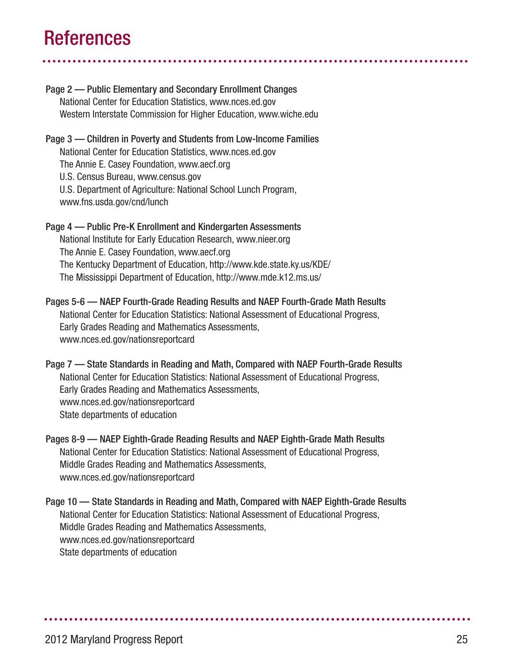### **References**

Page 2 — Public Elementary and Secondary Enrollment Changes National Center for Education Statistics, www.nces.ed.gov Western Interstate Commission for Higher Education, www.wiche.edu

Page 3 — Children in Poverty and Students from Low-Income Families National Center for Education Statistics, www.nces.ed.gov The Annie E. Casey Foundation, www.aecf.org U.S. Census Bureau, www.census.gov U.S. Department of Agriculture: National School Lunch Program, www.fns.usda.gov/cnd/lunch

Page 4 — Public Pre-K Enrollment and Kindergarten Assessments National Institute for Early Education Research, www.nieer.org The Annie E. Casey Foundation, www.aecf.org The Kentucky Department of Education, http://www.kde.state.ky.us/KDE/ The Mississippi Department of Education, http://www.mde.k12.ms.us/

Pages 5-6 — NAEP Fourth-Grade Reading Results and NAEP Fourth-Grade Math Results National Center for Education Statistics: National Assessment of Educational Progress, Early Grades Reading and Mathematics Assessments, www.nces.ed.gov/nationsreportcard

Page 7 — State Standards in Reading and Math, Compared with NAEP Fourth-Grade Results National Center for Education Statistics: National Assessment of Educational Progress, Early Grades Reading and Mathematics Assessments, www.nces.ed.gov/nationsreportcard State departments of education

Pages 8-9 — NAEP Eighth-Grade Reading Results and NAEP Eighth-Grade Math Results National Center for Education Statistics: National Assessment of Educational Progress, Middle Grades Reading and Mathematics Assessments, www.nces.ed.gov/nationsreportcard

Page 10 — State Standards in Reading and Math, Compared with NAEP Eighth-Grade Results National Center for Education Statistics: National Assessment of Educational Progress, Middle Grades Reading and Mathematics Assessments, www.nces.ed.gov/nationsreportcard State departments of education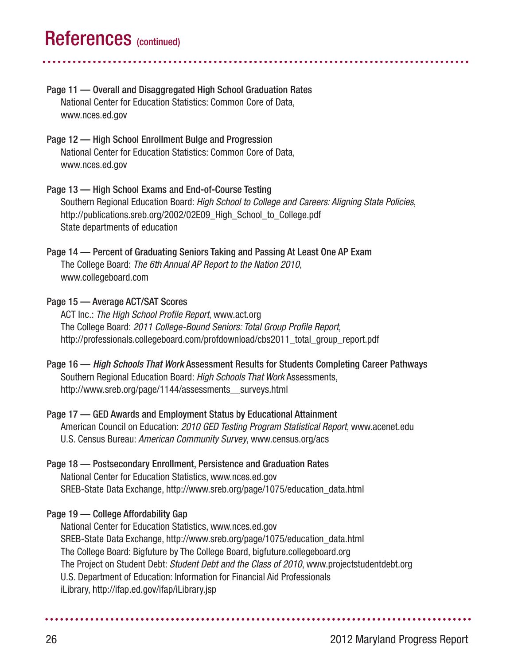### References (continued)

Page 11 — Overall and Disaggregated High School Graduation Rates National Center for Education Statistics: Common Core of Data, www.nces.ed.gov

- Page 12 High School Enrollment Bulge and Progression National Center for Education Statistics: Common Core of Data, www.nces.ed.gov
- Page 13 High School Exams and End-of-Course Testing Southern Regional Education Board: *High School to College and Careers: Aligning State Policies*, http://publications.sreb.org/2002/02E09\_High\_School\_to\_College.pdf State departments of education
- Page 14 Percent of Graduating Seniors Taking and Passing At Least One AP Exam The College Board: *The 6th Annual AP Report to the Nation 2010*, www.collegeboard.com

Page 15 — Average ACT/SAT Scores

ACT Inc.: *The High School Profile Report*, www.act.org The College Board: *2011 College-Bound Seniors: Total Group Profile Report*, http://professionals.collegeboard.com/profdownload/cbs2011\_total\_group\_report.pdf

- Page 16 *High Schools That Work* Assessment Results for Students Completing Career Pathways Southern Regional Education Board: *High Schools That Work* Assessments, http://www.sreb.org/page/1144/assessments\_\_surveys.html
- Page 17 GED Awards and Employment Status by Educational Attainment American Council on Education: *2010 GED Testing Program Statistical Report*, www.acenet.edu U.S. Census Bureau: *American Community Survey*, www.census.org/acs
- Page 18 Postsecondary Enrollment, Persistence and Graduation Rates National Center for Education Statistics, www.nces.ed.gov SREB-State Data Exchange, http://www.sreb.org/page/1075/education\_data.html

#### Page 19 — College Affordability Gap

National Center for Education Statistics, www.nces.ed.gov SREB-State Data Exchange, http://www.sreb.org/page/1075/education\_data.html The College Board: Bigfuture by The College Board, bigfuture.collegeboard.org The Project on Student Debt: *Student Debt and the Class of 2010*, www.projectstudentdebt.org U.S. Department of Education: Information for Financial Aid Professionals iLibrary, http://ifap.ed.gov/ifap/iLibrary.jsp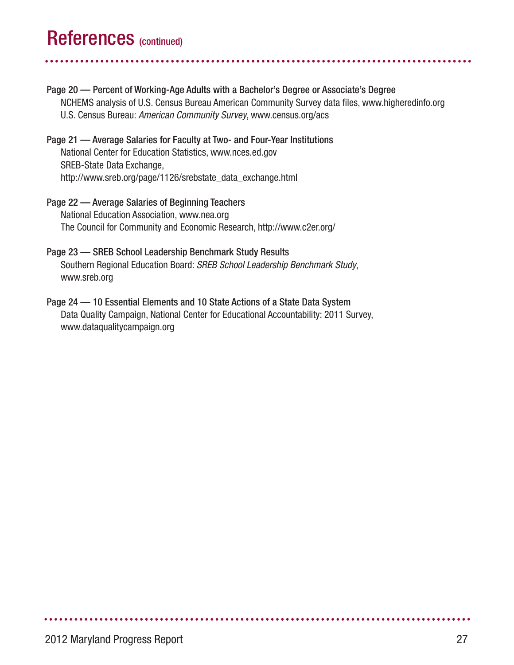### References (continued)

Page 20 — Percent of Working-Age Adults with a Bachelor's Degree or Associate's Degree NCHEMS analysis of U.S. Census Bureau American Community Survey data files, www.higheredinfo.org U.S. Census Bureau: *American Community Survey*, www.census.org/acs

- Page 21 Average Salaries for Faculty at Two- and Four-Year Institutions National Center for Education Statistics, www.nces.ed.gov SREB-State Data Exchange, http://www.sreb.org/page/1126/srebstate\_data\_exchange.html
- Page 22 Average Salaries of Beginning Teachers National Education Association, www.nea.org The Council for Community and Economic Research, http://www.c2er.org/
- Page 23 SREB School Leadership Benchmark Study Results Southern Regional Education Board: *SREB School Leadership Benchmark Study*, www.sreb.org
- Page 24 10 Essential Elements and 10 State Actions of a State Data System Data Quality Campaign, National Center for Educational Accountability: 2011 Survey, www.dataqualitycampaign.org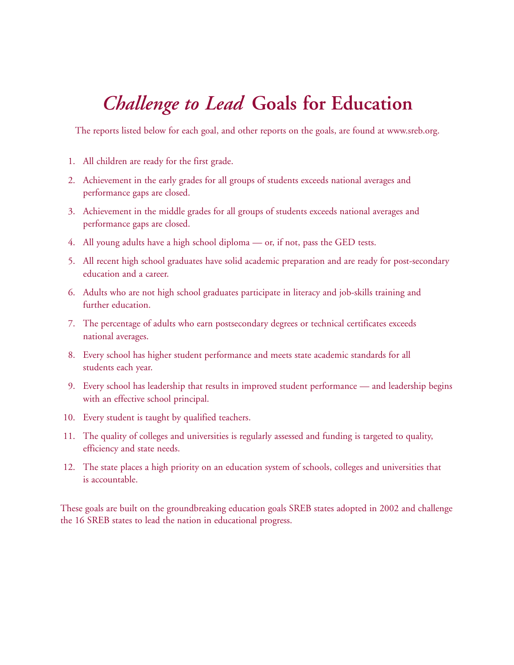### *Challenge to Lead* **Goals for Education**

The reports listed below for each goal, and other reports on the goals, are found at www.sreb.org.

- 1. All children are ready for the first grade.
- 2. Achievement in the early grades for all groups of students exceeds national averages and performance gaps are closed.
- 3. Achievement in the middle grades for all groups of students exceeds national averages and performance gaps are closed.
- 4. All young adults have a high school diploma or, if not, pass the GED tests.
- 5. All recent high school graduates have solid academic preparation and are ready for post-secondary education and a career.
- 6. Adults who are not high school graduates participate in literacy and job-skills training and further education.
- 7. The percentage of adults who earn postsecondary degrees or technical certificates exceeds national averages.
- 8. Every school has higher student performance and meets state academic standards for all students each year.
- 9. Every school has leadership that results in improved student performance and leadership begins with an effective school principal.
- 10. Every student is taught by qualified teachers.
- 11. The quality of colleges and universities is regularly assessed and funding is targeted to quality, efficiency and state needs.
- 12. The state places a high priority on an education system of schools, colleges and universities that is accountable.

These goals are built on the groundbreaking education goals SREB states adopted in 2002 and challenge the 16 SREB states to lead the nation in educational progress.